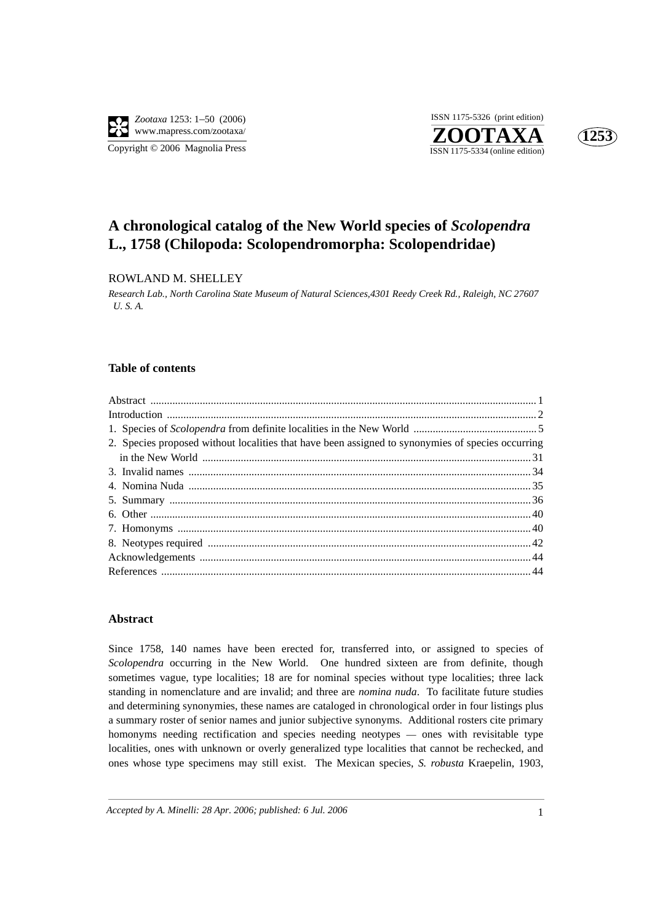

**ZOOTAXA**<br>ISSN 1175-5334 (online edition) ISSN 1175-5326 (print edition)



# **A chronological catalog of the New World species of** *Scolopendra* **L., 1758 (Chilopoda: Scolopendromorpha: Scolopendridae)**

## ROWLAND M. SHELLEY

*Research Lab., North Carolina State Museum of Natural Sciences,4301 Reedy Creek Rd., Raleigh, NC 27607 U. S. A.*

#### **Table of contents**

| 2. Species proposed without localities that have been assigned to synonymies of species occurring |  |
|---------------------------------------------------------------------------------------------------|--|
|                                                                                                   |  |
|                                                                                                   |  |
|                                                                                                   |  |
|                                                                                                   |  |
|                                                                                                   |  |
|                                                                                                   |  |
|                                                                                                   |  |
|                                                                                                   |  |
|                                                                                                   |  |

### **Abstract**

Since 1758, 140 names have been erected for, transferred into, or assigned to species of *Scolopendra* occurring in the New World. One hundred sixteen are from definite, though sometimes vague, type localities; 18 are for nominal species without type localities; three lack standing in nomenclature and are invalid; and three are *nomina nuda*. To facilitate future studies and determining synonymies, these names are cataloged in chronological order in four listings plus a summary roster of senior names and junior subjective synonyms. Additional rosters cite primary homonyms needing rectification and species needing neotypes — ones with revisitable type localities, ones with unknown or overly generalized type localities that cannot be rechecked, and ones whose type specimens may still exist. The Mexican species, *S. robusta* Kraepelin, 1903,